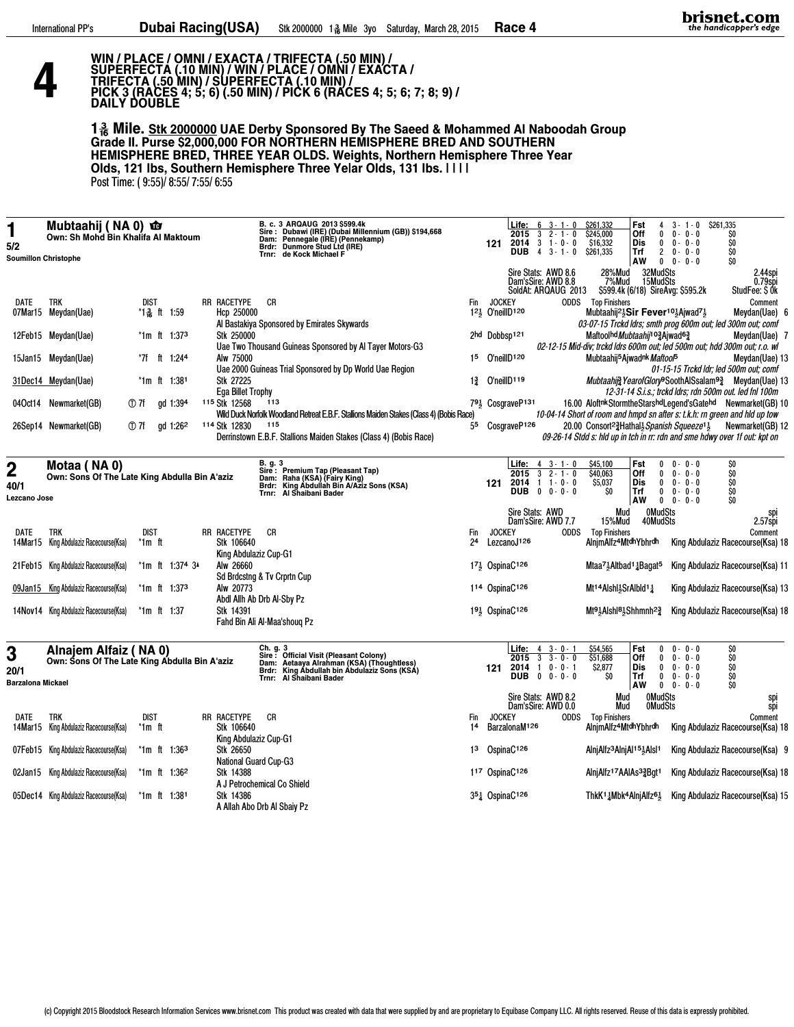<u>Д</u>

## WIN / PLACE / OMNI / EXACTA / TRIFECTA (.50 MIN) /<br>SUPERFECTA (.10 MIN) / WIN / PLACE / OMNI / EXACTA /<br>TRIFECTA (.50 MIN) / SUPERFECTA (.10 MIN) /<br>PICK 3 (RACES 4; 5; 6) (.50 MIN) / PICK 6 (RACES 4; 5; 6; 7; 8; 9) /<br>DAILY

1. Mile. Stk 2000000 UAE Derby Sponsored By The Saeed & Mohammed Al Naboodah Group Grade II. Purse \$2,000,000 FOR NORTHERN HEMISPHERE BRED AND SOUTHERN<br>HEMISPHERE BRED, THREE YEAR OLDS. Weights, Northern Hemisphere Three Y Olds, 121 lbs, Southern Hemisphere Three Yelar Olds, 131 lbs. I I I I

Post Time: (9:55)/8:55/7:55/6:55

| 5/2                       | Mubtaahij (NA 0) co<br>Own: Sh Mohd Bin Khalifa Al Maktoum<br><b>Soumillon Christophe</b> |                |              |                      |                                                    |                  | B. c. 3 ARQAUG 2013 \$599.4k<br>Brdr: Dunmore Stud Ltd (IRE)<br>Trnr: de Kock Michael F | Sire: Dubawi (IRE) (Dubai Millennium (GB)) \$194,668<br>Dam: Pennegale (IRE) (Pennekamp)                                                                                   |                                                                                          |                  | 121                              | Life:<br>2015<br>2014<br><b>DUB</b>                | $6 \t3 - 1 - 0$<br>$3 \t2 - 1 - 0$<br>$3 + 0 - 0$<br>$3 - 1 - 0$<br>4                        |             | \$261,332<br>\$245.000<br>\$16,332<br>\$261,335                                                                                                                                                        | Fst<br>Off<br>Dis<br>Trf<br>AW        | $\mathbf{0}$<br>0<br>2<br>$\mathbf 0$                           | $3 - 1 - 0$<br>$0 - 0 - 0$<br>$0 - 0 - 0$<br>$0 - 0 - 0$<br>$0 - 0 - 0$ | \$261,335<br>\$O<br>\$O<br>\$O<br>\$0 |                                                          |  |
|---------------------------|-------------------------------------------------------------------------------------------|----------------|--------------|----------------------|----------------------------------------------------|------------------|-----------------------------------------------------------------------------------------|----------------------------------------------------------------------------------------------------------------------------------------------------------------------------|------------------------------------------------------------------------------------------|------------------|----------------------------------|----------------------------------------------------|----------------------------------------------------------------------------------------------|-------------|--------------------------------------------------------------------------------------------------------------------------------------------------------------------------------------------------------|---------------------------------------|-----------------------------------------------------------------|-------------------------------------------------------------------------|---------------------------------------|----------------------------------------------------------|--|
|                           |                                                                                           |                |              |                      |                                                    |                  |                                                                                         |                                                                                                                                                                            |                                                                                          |                  |                                  |                                                    | Sire Stats: AWD 8.6<br>Dam'sSire: AWD 8.8<br>SoldAt: ARQAUG 2013                             |             | 28%Mud<br>7%Mud                                                                                                                                                                                        |                                       | 32MudSts<br>15MudSts                                            | \$599.4k (6/18) SireAvg: \$595.2k                                       |                                       | 2.44sp<br>$0.79$ spi<br>StudFee: \$0k                    |  |
| DATE                      | trk<br>07Mar15 Meydan(Uae)                                                                | <b>DIST</b>    | *1 옳 ft 1:59 |                      | RR RACETYPE<br>Hcp 250000                          | СR               |                                                                                         |                                                                                                                                                                            |                                                                                          | Fin              | <b>JOCKEY</b><br>121 O'neillD120 |                                                    |                                                                                              |             | <b>ODDS</b> Top Finishers<br>Mubtaahij <sup>21</sup> <sub>5</sub> Sir Fever <sup>101</sup> <sub>5</sub> Ajwad <sup>71</sup>                                                                            |                                       |                                                                 |                                                                         |                                       | Comment<br>Meydan(Uae) 6                                 |  |
|                           | 12Feb15 Meydan(Uae)                                                                       |                |              | $*1m$ ft 1:373       | Stk 250000                                         |                  | Al Bastakiya Sponsored by Emirates Skywards                                             | Uae Two Thousand Guineas Sponsored by Al Tayer Motors-G3                                                                                                                   |                                                                                          |                  | 2hd Dobbsp121                    |                                                    |                                                                                              |             | 03-07-15 Trckd ldrs; smth prog 600m out; led 300m out; comf<br>Maftoolhd Mubtaahij <sup>10</sup> 3Ajwad <sup>63</sup><br>02-12-15 Mid-div; trckd ldrs 600m out; led 500m out; hdd 300m out; r.o. wl    |                                       |                                                                 |                                                                         |                                       | Meydan(Uae) 7                                            |  |
|                           | 15Jan15 Meydan(Uae)                                                                       | *7f            |              | ft 1:244             | Alw 75000                                          |                  |                                                                                         | Uae 2000 Guineas Trial Sponsored by Dp World Uae Region                                                                                                                    |                                                                                          | 15               | O'neilID120                      |                                                    |                                                                                              |             | Mubtaahij <sup>5</sup> Ajwadnk Maftoof5                                                                                                                                                                |                                       |                                                                 |                                                                         |                                       | Meydan(Uae) 13<br>01-15-15 Trckd ldr; led 500m out; comf |  |
|                           | 31Dec14 Meydan(Uae)                                                                       |                |              | $*1m$ ft 1:381       | Stk 27225<br><b>Ega Billet Trophy</b>              |                  |                                                                                         |                                                                                                                                                                            |                                                                                          | 17               | $O'$ neill $D119$                |                                                    |                                                                                              |             | Mubtaahia YearofGlory <sup>9</sup> SoothAlSsalam <sup>93</sup> Meydan(Uae) 13                                                                                                                          |                                       |                                                                 |                                                                         |                                       | 12-31-14 S.i.s.; trckd ldrs; rdn 500m out. led fnl 100m  |  |
|                           | 04Oct14 Newmarket(GB)                                                                     | ① 7f           |              | qd 1:394             | 115 Stk 12568                                      | 113              |                                                                                         |                                                                                                                                                                            | Wild Duck Norfolk Woodland Retreat E.B.F. Stallions Maiden Stakes (Class 4) (Bobis Race) |                  |                                  | 791 CosgraveP131                                   |                                                                                              |             | 16.00 Aloftnk Stormthe Starshd Legend's Gatehd Newmarket (GB) 10<br>10-04-14 Short of room and hmpd sn after s: t.k.h: rn green and hid up tow                                                         |                                       |                                                                 |                                                                         |                                       |                                                          |  |
|                           | 26Sep14 Newmarket(GB)                                                                     | ① 7f           |              | gd 1:26 <sup>2</sup> | 114 Stk 12830                                      | 115              |                                                                                         | Derrinstown E.B.F. Stallions Maiden Stakes (Class 4) (Bobis Race)                                                                                                          |                                                                                          | 55               |                                  | CosgraveP126                                       |                                                                                              |             | 20.00 Consort <sup>2</sup> / <sub>2</sub> Hathal <sup>1</sup> / <sub>2</sub> Spanish Squeeze <sup>1</sup> / <sub>2</sub><br>09-26-14 Stdd s: hld up in tch in rr: rdn and sme hdwy over 1f out: kpt on |                                       |                                                                 |                                                                         |                                       | Newmarket(GB) 12                                         |  |
| 2<br>40/1<br>Lezcano Jose | Motaa ( NA 0)<br>Own: Sons Of The Late King Abdulla Bin A'aziz                            |                |              |                      |                                                    | B, g. 3<br>Trnr: | Sire: Premium Tap (Pleasant Tap)<br>Dam: Raha (KSA) (Fairy King)<br>Al Shaibani Bader   | Brdr: King Abdullah Bin A/Aziz Sons (KSA)                                                                                                                                  |                                                                                          |                  | 121                              | Life:<br>2015<br>2014                              | $4$ $3 - 1 - 0$<br>3<br>$2 - 1 - 0$<br>$1 1 - 0 - 0$<br>DUB $0 \t 0 - 0 - 0$                 |             | \$45,100<br>S40.063<br>\$5,037<br>SO                                                                                                                                                                   | Fst<br>Off<br><b>Dis</b><br>Trf<br>AW | 0<br>$\mathbf{0}$<br>$\mathbf{0}$<br>$\mathbf 0$<br>$\mathbf 0$ | $0 - 0 - 0$<br>$0 - 0 - 0$<br>$0 - 0 - 0$<br>$0 - 0 - 0$<br>$0 - 0 - 0$ | \$O<br>\$0<br>\$O<br>\$0<br>\$O       |                                                          |  |
|                           |                                                                                           |                |              |                      |                                                    |                  |                                                                                         |                                                                                                                                                                            |                                                                                          |                  |                                  |                                                    | Sire Stats: AWD<br>Dam'sSire: AWD 7.7                                                        |             | Mud<br>15%Mud                                                                                                                                                                                          |                                       | <b>OMudSts</b><br>40MudSts                                      |                                                                         |                                       | spi<br>2.57spi                                           |  |
| DATE                      | trk<br><b>14Mar15</b> King Abdulaziz Racecourse(Ksa)                                      | dist<br>*1m ft |              |                      | RR RACETYPE<br>Stk 106640<br>King Abdulaziz Cup-G1 | CR               |                                                                                         |                                                                                                                                                                            |                                                                                          | Fin<br>24        | <b>JOCKEY</b>                    | LezcanoJ <sub>126</sub>                            |                                                                                              | <b>ODDS</b> | <b>Top Finishers</b><br>AlnimAlfz4MtdhYbhrdh                                                                                                                                                           |                                       |                                                                 |                                                                         |                                       | Comment<br>King Abdulaziz Racecourse(Ksa) 18             |  |
|                           | 21 Feb 15 King Abdulaziz Racecourse (Ksa)                                                 |                |              | *1m ft 1:374 34      | Alw 26660<br>Sd Brdcstng & Tv Crprtn Cup           |                  |                                                                                         |                                                                                                                                                                            |                                                                                          |                  |                                  | $17\frac{1}{2}$ OspinaC <sup>126</sup>             |                                                                                              |             | Mtaa <sup>71</sup> <sub>4</sub> Nitbad <sup>1</sup> <sub>4</sub> Bagat <sup>5</sup>                                                                                                                    |                                       |                                                                 |                                                                         |                                       | King Abdulaziz Racecourse(Ksa) 11                        |  |
|                           | 09Jan15 King Abdulaziz Racecourse(Ksa)                                                    |                |              | $*1m$ ft 1:373       | Alw 20773<br>Abdl Allh Ab Drb Al-Sby Pz            |                  |                                                                                         |                                                                                                                                                                            |                                                                                          |                  |                                  | 114 OspinaC126                                     |                                                                                              |             | Mt14Alshl1SrAlbld11                                                                                                                                                                                    |                                       |                                                                 |                                                                         |                                       | King Abdulaziz Racecourse(Ksa) 13                        |  |
|                           | 14Nov14 King Abdulaziz Racecourse(Ksa)                                                    |                | *1m ft 1:37  |                      | Stk 14391<br>Fahd Bin Ali Al-Maa'shoug Pz          |                  |                                                                                         |                                                                                                                                                                            |                                                                                          |                  |                                  | $19\frac{1}{2}$ OspinaC <sup>126</sup>             |                                                                                              |             | Mt <sup>91</sup> <sub>2</sub> Alshl <sup>81</sup> <sub>2</sub> Shhmnh <sup>23</sup>                                                                                                                    |                                       |                                                                 |                                                                         |                                       | King Abdulaziz Racecourse(Ksa) 18                        |  |
| 3<br>20/1                 | Alnajem Alfaiz (NA 0)<br>Own: Sons Of The Late King Abdulla Bin A'aziz                    |                |              |                      |                                                    | Trnr:            | Al Shaibani Bader                                                                       | Ch. g. 3<br>Sire : Official Visit (Pleasant Colony)<br>Dam: Aetaaya Alrahman (KSA) (Thoughtless)<br>Brdr: King Abdullah bin Abdulaziz Sons (KSA)<br>Trd: King Abbasi Badar |                                                                                          |                  | 121                              | 2015<br>2014<br><b>DUB</b>                         | Life: $4 \t3 - 0 - 1$<br>3<br>$3 - 0 - 0$<br>$0 - 0 - 1$<br>$\mathbf{1}$<br>$0 \t 0 - 0 - 0$ |             | \$54,565<br>\$51,688<br>\$2,877<br>SO                                                                                                                                                                  | Fst<br>Off<br><b>Dis</b><br>Trf       | 0<br>$\mathbf{0}$<br>$\bf{0}$<br>$\mathbf 0$                    | $0 - 0 - 0$<br>$0 - 0 - 0$<br>$0 - 0 - 0$<br>$0 - 0 - 0$                | \$0<br>\$O<br>\$0<br>\$Ō              |                                                          |  |
| <b>Barzalona Mickael</b>  |                                                                                           |                |              |                      |                                                    |                  |                                                                                         |                                                                                                                                                                            |                                                                                          |                  |                                  |                                                    | Sire Stats: AWD 8.2                                                                          |             | Mud                                                                                                                                                                                                    | AW                                    | $\mathbf 0$<br><b>OMudSts</b>                                   | $0 - 0 - 0$                                                             | \$0                                   | spi<br>spi                                               |  |
| DATE                      | trk<br><b>14Mar15</b> King Abdulaziz Racecourse(Ksa)                                      | dist<br>*1m ft |              |                      | RR RACETYPE<br>Stk 106640<br>King Abdulaziz Cup-G1 | <b>CR</b>        |                                                                                         |                                                                                                                                                                            |                                                                                          | <b>Fin</b><br>14 | <b>JOCKEY</b>                    | BarzalonaM126                                      | Dam'sSire: AWD 0.0                                                                           |             | Mud<br><b>ODDS</b> Top Finishers<br>AlnimAlfz4MtdhYbhrdh                                                                                                                                               |                                       | <b>OMudSts</b>                                                  |                                                                         |                                       | Comment<br>King Abdulaziz Racecourse(Ksa) 18             |  |
|                           | 07Feb15 King Abdulaziz Racecourse(Ksa)                                                    |                |              | $*1m$ ft 1:363       | Stk 26650<br>National Guard Cup-G3                 |                  |                                                                                         |                                                                                                                                                                            |                                                                                          | 13               |                                  | OspinaC <sup>126</sup>                             |                                                                                              |             | AlniAlfz <sup>3</sup> AlniAl <sup>15</sup> Alsl <sup>1</sup>                                                                                                                                           |                                       |                                                                 |                                                                         |                                       | King Abdulaziz Racecourse(Ksa) 9                         |  |
|                           | 02Jan15 King Abdulaziz Racecourse(Ksa)                                                    |                |              | $*1m$ ft 1:362       | Stk 14388<br>A J Petrochemical Co Shield           |                  |                                                                                         |                                                                                                                                                                            |                                                                                          |                  |                                  | 117 OspinaC126                                     |                                                                                              |             | AlnjAlfz17AAIAs <sup>3</sup> ≩Bgt1                                                                                                                                                                     |                                       |                                                                 |                                                                         |                                       | King Abdulaziz Racecourse(Ksa) 18                        |  |
|                           | 05Dec14 King Abdulaziz Racecourse(Ksa)                                                    |                |              | *1m ft 1:381         | Stk 14386<br>A Allah Aho Drh Al Shaiy Pz           |                  |                                                                                         |                                                                                                                                                                            |                                                                                          |                  |                                  | 3 <sup>5</sup> <sup>1</sup> OspinaC <sup>126</sup> |                                                                                              |             | ThkK1,Mbk4AInjAlfz6,                                                                                                                                                                                   |                                       |                                                                 |                                                                         |                                       | King Abdulaziz Racecourse(Ksa) 15                        |  |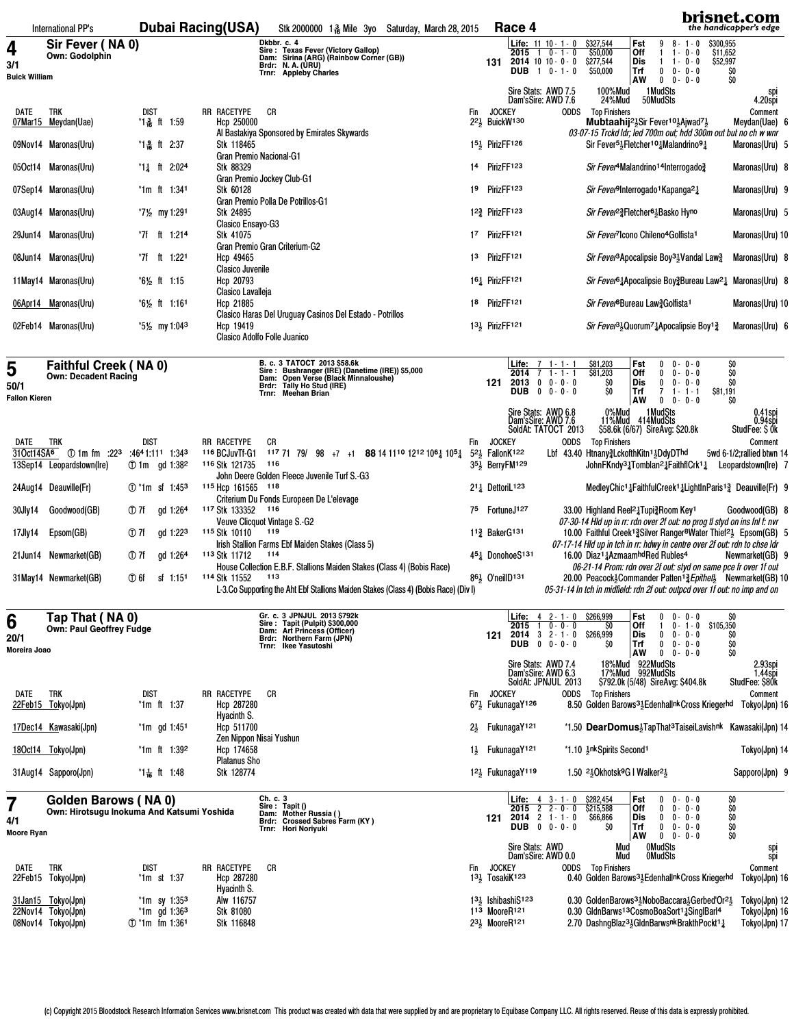|                             | International PP's                                         |                                              | <b>Dubai Racing(USA)</b>                                                            | Stk 2000000 1 & Mile 3yo Saturday, March 28, 2015                                                                                                   |                | Race 4                                                                             |                                                                                                                                       |                                                                                                                                                                                                                 | brisnet.com<br>the handicapper's edge |
|-----------------------------|------------------------------------------------------------|----------------------------------------------|-------------------------------------------------------------------------------------|-----------------------------------------------------------------------------------------------------------------------------------------------------|----------------|------------------------------------------------------------------------------------|---------------------------------------------------------------------------------------------------------------------------------------|-----------------------------------------------------------------------------------------------------------------------------------------------------------------------------------------------------------------|---------------------------------------|
| 4                           | Sir Fever (NA 0)<br><b>Own: Godolphin</b>                  |                                              | Dkbbr. c. 4                                                                         |                                                                                                                                                     |                | <b>Life:</b> $11 \ 10 - 1 - 0$<br>$2015$ 1 0 - 1 - 0                               | \$327,544<br>Fst<br>\$50,000<br>Off                                                                                                   | \$300,955<br>9<br>8-1-0<br>\$11,652<br>$1 - 0 - 0$<br>1.                                                                                                                                                        |                                       |
| 3/1<br><b>Buick William</b> |                                                            |                                              | Trnr: Appleby Charles                                                               | Sire: Texas Fever (Victory Gallop)<br>Dam: Sirina (ARG) (Rainbow Corner (GB))<br>Brdr: N. A. (URU)                                                  |                | $2014$ 10 10 $\cdot$ 0 $\cdot$ 0<br>131<br><b>DUB</b> $1 \ 0 - 1 - 0$              | \$277,544<br>Dis<br>Trf<br>\$50,000                                                                                                   | \$52,997<br>$1 - 0 - 0$<br>$0 \t 0 - 0 - 0$                                                                                                                                                                     | \$0                                   |
|                             |                                                            |                                              |                                                                                     |                                                                                                                                                     |                | Sire Stats: AWD 7.5                                                                | AW<br>100%Mud                                                                                                                         | $\mathbf{0}$<br>$0 - 0 - 0$<br>1 Mud Sts                                                                                                                                                                        | \$0<br>spi<br>4.20spi                 |
| DATE                        | TRK                                                        | dist                                         | RR RACETYPE<br>СR                                                                   |                                                                                                                                                     | Fin            | Dam'sSire: AWD 7.6<br><b>JOCKEY</b>                                                | 24%Mud<br><b>ODDS</b> Top Finishers                                                                                                   | 50MudSts                                                                                                                                                                                                        | Comment                               |
|                             | 07Mar15 Meydan(Uae)                                        | *1 옳 ft 1:59                                 | Hcp 250000<br>Al Bastakiya Sponsored by Emirates Skywards                           |                                                                                                                                                     |                | 221 BuickW130                                                                      |                                                                                                                                       | Mubtaahij <sup>21</sup> <sub>5</sub> Sir Fever <sup>101</sup> <sub>5</sub> Ajwad <sup>71</sup> <sub>5</sub><br>03-07-15 Trckd ldr; led 700m out; hdd 300m out but no ch w wnr                                   | Meydan(Uae) 6                         |
|                             | 09Nov14 Maronas(Uru)                                       | *1-옳 ft 2:37                                 | Stk 118465<br>Gran Premio Nacional-G1                                               |                                                                                                                                                     |                | 1 <sup>51</sup> / <sub>5</sub> PirizFF126                                          |                                                                                                                                       | Sir Fever <sup>51</sup> <sub>5</sub> Fletcher <sup>10</sup> <sup>1</sup> Malandrino <sup>9</sup> <sup>1</sup>                                                                                                   | Maronas(Uru) 5                        |
|                             | 05Oct14 Maronas(Uru)                                       | *11 ft 2:024                                 | Stk 88329                                                                           |                                                                                                                                                     |                | 14 PirizFF123                                                                      |                                                                                                                                       | Sir Fever <sup>4</sup> Malandrino <sup>14</sup> Interrogado <sup>3</sup>                                                                                                                                        | Maronas(Uru) 8                        |
|                             | 07Sep14 Maronas(Uru)                                       | *1m ft 1:341                                 | Gran Premio Jockey Club-G1<br>Stk 60128                                             |                                                                                                                                                     | 19             | PirizFF123                                                                         | Sir Fever <sup>9</sup> Interrogado <sup>1</sup> Kapanga <sup>2</sup> 1                                                                |                                                                                                                                                                                                                 | Maronas(Uru) 9                        |
|                             | 03Aug14 Maronas(Uru)                                       | *7½ my 1:291                                 | Gran Premio Polla De Potrillos-G1<br>Stk 24895                                      |                                                                                                                                                     |                | 12 <sup>3</sup> PirizFF123                                                         | <i>Sir Fever</i> <sup>23</sup> Fletcher <sup>61</sup> Basko Hyno                                                                      |                                                                                                                                                                                                                 | Maronas(Uru) 5                        |
|                             | 29Jun14 Maronas(Uru)                                       | *7f ft 1:214                                 | Clasico Ensayo-G3<br>Stk 41075                                                      |                                                                                                                                                     |                | 17 PirizFF121                                                                      | Sir Fever <sup>7</sup> Icono Chileno <sup>4</sup> Golfista <sup>1</sup>                                                               |                                                                                                                                                                                                                 | Maronas(Uru) 10                       |
|                             | 08Jun14 Maronas(Uru)                                       | *7f<br>1:221<br>ft                           | Gran Premio Gran Criterium-G2<br>Hcp 49465                                          |                                                                                                                                                     | 13             | PirizFF <sub>121</sub>                                                             |                                                                                                                                       | Sir Fever <sup>3</sup> Apocalipsie Boy <sup>31</sup> /2 Vandal Law <sup>3</sup> / <sub>2</sub>                                                                                                                  | Maronas(Uru) 8                        |
|                             |                                                            |                                              | <b>Clasico Juvenile</b>                                                             |                                                                                                                                                     |                |                                                                                    |                                                                                                                                       |                                                                                                                                                                                                                 |                                       |
|                             | 11 May 14 Maronas (Uru)                                    | *6½ ft 1:15                                  | Hcp 20793<br>Clasico Lavalleja                                                      |                                                                                                                                                     |                | 161 PirizFF121                                                                     |                                                                                                                                       | Sir Fever <sup>61</sup> Apocalipsie Boy <sup>3</sup> Bureau Law <sup>21</sup> Maronas (Uru) 8                                                                                                                   |                                       |
|                             | 06Apr14 Maronas(Uru)                                       | *6½ ft 1:161                                 | Hcp 21885                                                                           | Clasico Haras Del Uruguay Casinos Del Estado - Potrillos                                                                                            | 18             | PirizFF121                                                                         | <i>Sir Fever</i> <sup>8</sup> Bureau Law? Golfista <sup>1</sup>                                                                       |                                                                                                                                                                                                                 | Maronas(Uru) 10                       |
|                             | 02Feb14 Maronas(Uru)                                       | *5½ my 1:04 <sup>3</sup>                     | Hcp 19419<br>Clasico Adolfo Folle Juanico                                           |                                                                                                                                                     |                | 13 <sub>3</sub> PirizFF121                                                         |                                                                                                                                       | Sir Fever <sup>31</sup> / <sub>2</sub> Quorum <sup>71</sup> / <sub>4</sub> Apocalipsie Boy <sup>13</sup> / <sub>4</sub>                                                                                         | Maronas(Uru) 6                        |
|                             |                                                            |                                              |                                                                                     |                                                                                                                                                     |                |                                                                                    |                                                                                                                                       |                                                                                                                                                                                                                 |                                       |
| 5                           | <b>Faithful Creek (NA0)</b><br><b>Own: Decadent Racing</b> |                                              |                                                                                     | B. c. 3 TATOCT 2013 \$58.6k<br>Sire : Bushranger (IRE) (Danetime (IRE)) \$5,000<br>Dam: Open Verse (Black Minnaloushe)<br>Brdr: Tally Ho Stud (IRE) |                | <b>Life:</b> $7 \t1 \t1 \t1$<br>$2014$ 7                                           | \$81,203<br>Fst<br>$\overline{1}$ - 1 - 1<br>\$81,203<br>Off                                                                          | $0 - 0 - 0$<br>0<br>$0 - 0 - 0$<br>$\mathbf{0}$                                                                                                                                                                 | \$0<br>\$0                            |
| 50/1<br>Fallon Kieren       |                                                            |                                              | Trnr: Meehan Brian                                                                  |                                                                                                                                                     |                | $2013$ 0 0 $\cdot$ 0 0<br>121<br>DUB $0 \t 0 \t 0 \t 0 \t 0$                       | SO<br>Dis<br>SO<br>Trf<br>AW                                                                                                          | $0 - 0 - 0$<br>$\mathbf{0}$<br>$\overline{7}$<br>$1 - 1 - 1$<br>\$81,191<br>$0 \t 0 - 0 - 0$                                                                                                                    | \$O<br>SO                             |
|                             |                                                            |                                              |                                                                                     |                                                                                                                                                     |                | Sire Stats: AWD 6.8                                                                | 0%Mud                                                                                                                                 | 1 MudSts                                                                                                                                                                                                        | 0.41spi<br>0.94spi                    |
|                             |                                                            |                                              |                                                                                     |                                                                                                                                                     |                | Dam'sSire: AWD 7.6<br>SoldAt: TATOCT 2013                                          | 11%Mud 414MudSts                                                                                                                      | \$58.6k (6/67) SireAvg: \$20.8k                                                                                                                                                                                 | StudFee: \$0k                         |
| DATE                        | <b>TRK</b><br>31Oct14SA <sup>6</sup> ① 1m fm :223          | <b>DIST</b><br>:4641:111 1:343               | RR RACETYPE<br>CR<br>116 BCJuvTf-G1                                                 | 117 71 79/ 98 +7 +1 88 14 1110 1212 106 105 1                                                                                                       | Fin            | <b>JOCKEY</b><br>5 <sup>2</sup> <sup>1</sup> / <sub>2</sub> FallonK <sup>122</sup> | ODDS<br><b>Top Finishers</b><br>Lbf 43.40 Htnany3LckofthKitn <sup>1</sup> 3DdyDThd                                                    |                                                                                                                                                                                                                 | Comment<br>5wd 6-1/2; rallied btwn 14 |
|                             | 13Sep14 Leopardstown(Ire)                                  | gd 1:38 <sup>2</sup><br>① 1m                 | <sup>116</sup> Stk 121735<br>116<br>John Deere Golden Fleece Juvenile Turf S.-G3    |                                                                                                                                                     |                | 35 <sup>1</sup> / <sub>5</sub> BerryFM <sup>129</sup>                              |                                                                                                                                       | JohnFKndy <sup>3</sup> <sup>1</sup> Tomblan <sup>2</sup> <sup>1</sup> FaithflCrk <sup>1</sup> <sup>1</sup>                                                                                                      | Leopardstown(Ire) 7                   |
|                             | 24Aug14 Deauville(Fr)                                      | ① *1m sf 1:45 <sup>3</sup>                   | 115 Hcp 161565 118<br>Criterium Du Fonds Europeen De L'elevage                      |                                                                                                                                                     |                | 2 <sup>1</sup> <sup>1</sup> / <sub>2</sub> DettoriL <sup>123</sup>                 |                                                                                                                                       | MedleyChic <sup>1</sup> 1FaithfulCreek <sup>1</sup> 1LightInParis <sup>1</sup> 2 Deauville (Fr) 9                                                                                                               |                                       |
| 30Jly14                     | Goodwood(GB)                                               | ① 7f<br>gd 1:264                             | 117 Stk 133352<br>116                                                               |                                                                                                                                                     | 75             | FortuneJ127                                                                        | 33.00 Highland Reel <sup>2</sup> Tupi <sup>3</sup> Room Key <sup>1</sup>                                                              |                                                                                                                                                                                                                 | Goodwood(GB) 8                        |
| 17Jly14                     | Epsom(GB)                                                  | ① 7f<br>gd 1:22 <sup>3</sup>                 | Veuve Clicquot Vintage S.-G2<br>119<br>115 Stk 10110                                |                                                                                                                                                     |                | $11\frac{3}{4}$ Baker G <sub>131</sub>                                             | 07-30-14 HId up in rr: rdn over 2f out: no prog tl styd on ins fnl f: nvr                                                             | 10.00 Faithful Creek <sup>13</sup> Silver Ranger <sup>8</sup> Water Thief <sup>21</sup> Epsom(GB) 5                                                                                                             |                                       |
|                             | 21 Jun 14 Newmarket (GB)                                   | ① 7f<br>gd 1:264                             | Irish Stallion Farms Ebf Maiden Stakes (Class 5)<br><sup>113</sup> Stk 11712<br>114 |                                                                                                                                                     |                | 4 <sup>5</sup> <sup>1</sup> DonohoeS <sup>131</sup>                                | 07-17-14 Hld up in tch in rr: hdwy in centre over 2f out: rdn to chse ldr<br>16.00 Diaz <sup>1</sup> 1AzmaamhdRed Rubles <sup>4</sup> |                                                                                                                                                                                                                 | Newmarket(GB) 9                       |
|                             | 31May14 Newmarket(GB)                                      | ① 6f<br>sf 1:151                             | 114 Stk 11552<br>113                                                                | House Collection E.B.F. Stallions Maiden Stakes (Class 4) (Bobis Race)                                                                              |                | $86\frac{1}{2}$ O'neill D <sup>131</sup>                                           |                                                                                                                                       | 06-21-14 Prom: rdn over 2f out: styd on same pce fr over 1f out<br>20.00 Peacock <sup>1</sup> / <sub>2</sub> Commander Patten <sup>13</sup> / <sub>4</sub> Epithet <sup>1</sup> / <sub>2</sub> Newmarket(GB) 10 |                                       |
|                             |                                                            |                                              |                                                                                     | L-3.Co Supporting the Aht Ebf Stallions Maiden Stakes (Class 4) (Bobis Race) (Div I)                                                                |                |                                                                                    | 05-31-14 In tch in midfield: rdn 2f out: outpcd over 1f out: no imp and on                                                            |                                                                                                                                                                                                                 |                                       |
| 6                           | Tap That (NA 0)                                            |                                              |                                                                                     | Gr. c. 3 JPNJUL 2013 \$792k<br>Sire: Tapit (Pulpit) \$300,000                                                                                       |                |                                                                                    | Life: 4 2 - 1 - 0 \$266,999<br>Fst                                                                                                    | $0 - 0 - 0$<br>0                                                                                                                                                                                                | SO                                    |
| 20/1                        | Own: Paul Geoffrey Fudge                                   |                                              |                                                                                     | Dam: Art Princess (Officer)<br>Brdr: Northern Farm (JPN)                                                                                            |                | $2015$ 1 0 - 0 - 0<br>$2014$ 3 2 - 1 - 0<br>121<br>DUB $0 \t 0 - 0 - 0$            | SO<br>Off<br>\$266,999<br>Dis<br>Ş0<br>Trf                                                                                            | \$105,350<br>$0 - 1 - 0$<br>л.<br>0<br>$0 - 0 - 0$<br>0<br>$0 - 0 - 0$                                                                                                                                          | Ş0<br>\$0                             |
| Moreira Joao                |                                                            |                                              | Trnr: Ikee Yasutoshi                                                                |                                                                                                                                                     |                | Sire Stats: AWD 7.4                                                                | <b>AW</b><br>18%Mud 922MudSts                                                                                                         | $0 0 - 0 - 0$                                                                                                                                                                                                   | Ś0                                    |
|                             |                                                            |                                              |                                                                                     |                                                                                                                                                     |                | Dam'sSire: AWD 6.3<br>SoldAt: JPNJUL 2013                                          | 17%Mud 992MudSts                                                                                                                      | \$792.0k (5/48) SireAvg: \$404.8k                                                                                                                                                                               | 2.93spi<br>1.44spi<br>StudFee: \$80k  |
| DATE                        | trk<br>22Feb15 Tokyo(Jpn)                                  | dist<br>*1m ft 1:37                          | RR RACETYPE<br>СR<br>Hcp 287280                                                     |                                                                                                                                                     | Fin            | <b>JOCKEY</b><br>$67\frac{1}{2}$ FukunagaY126                                      | <b>Top Finishers</b><br>ODDS                                                                                                          | 8.50 Golden Barows <sup>3</sup> Edenhallnk Cross Kriegerhd Tokyo(Jpn) 16                                                                                                                                        | Comment                               |
|                             |                                                            |                                              | Hyacinth S.                                                                         |                                                                                                                                                     |                |                                                                                    |                                                                                                                                       |                                                                                                                                                                                                                 |                                       |
|                             | 17Dec14 Kawasaki(Jpn)                                      | $*1m$ gd 1:451                               | Hcp 511700<br>Zen Nippon Nisai Yushun                                               |                                                                                                                                                     | $2\frac{1}{2}$ | FukunagaY <sup>121</sup>                                                           |                                                                                                                                       | *1.50 <b>DearDomus</b> Tap That <sup>3</sup> Taise iLavish nk Kawasaki(Jpn) 14                                                                                                                                  |                                       |
|                             | 18Oct14 Tokyo(Jpn)                                         | *1m ft 1:392                                 | Hcp 174658<br><b>Platanus Sho</b>                                                   |                                                                                                                                                     | $1\frac{1}{2}$ | FukunagaY <sup>121</sup>                                                           | *1.10 3nk Spirits Second <sup>1</sup>                                                                                                 |                                                                                                                                                                                                                 | Tokyo(Jpn) 14                         |
|                             | 31Aug14 Sapporo(Jpn)                                       | *1 – ft 1:48                                 | Stk 128774                                                                          |                                                                                                                                                     |                | 121 FukunagaY119                                                                   | 1.50 <sup>21</sup> <sub>2</sub> Okhotsk <sup>9</sup> G I Walker <sup>21</sup> <sub>2</sub>                                            |                                                                                                                                                                                                                 | Sapporo(Jpn) 9                        |
| 7                           | Golden Barows (NA 0)                                       |                                              | Ch. c. 3<br>Sire: Tapit ()                                                          |                                                                                                                                                     |                | <b>Life:</b> $4 \quad 3 \cdot 1 \cdot 0$<br>$2015$ $2$ $2 - 0 - 0$                 | \$282,454<br>Fst<br>\$215,588<br>Off                                                                                                  | $0 - 0 - 0$<br>0<br>$\mathbf{0}$<br>$0 - 0 - 0$                                                                                                                                                                 | \$0<br>\$0                            |
| 4/1                         | Own: Hirotsugu Inokuma And Katsumi Yoshida                 |                                              |                                                                                     | Dam: Mother Russia ()<br>Brdr: Crossed Sabres Farm (KY)                                                                                             |                | 121 2014 2 1 - 1 - 0<br><b>DUB</b> $0 \t 0 \t 0 \t 0 \t 0$                         | Dis<br>\$66,866<br>Trf<br>SO                                                                                                          | 0<br>$0 - 0 - 0$<br>$0 - 0 - 0$<br>0                                                                                                                                                                            | \$0                                   |
| Moore Ryan                  |                                                            |                                              | Trnr: Hori Noriyuki                                                                 |                                                                                                                                                     |                | Sire Stats: AWD                                                                    | AW<br>Mud                                                                                                                             | $0 \t 0 - 0 - 0$<br><b>OMudSts</b>                                                                                                                                                                              | $\frac{50}{50}$                       |
| DATE                        | TRK                                                        | dist                                         | RR RACETYPE<br>СR                                                                   |                                                                                                                                                     |                | Dam'sSire: AWD 0.0<br>Fin JOCKEY                                                   | Mud<br><b>ODDS</b> Top Finishers                                                                                                      | <b>OMudSts</b>                                                                                                                                                                                                  | spi<br>spi<br>Comment                 |
|                             | 22Feb15 Tokyo(Jpn)                                         | *1m st 1:37                                  | Hcp 287280<br>Hyacinth S.                                                           |                                                                                                                                                     |                | 1 <sup>31</sup> / <sub>2</sub> TosakiK <sup>123</sup>                              |                                                                                                                                       | 0.40 Golden Barows <sup>31</sup> Edenhallnk Cross Kriegerhd                                                                                                                                                     | Tokyo(Jpn) 16                         |
|                             | 31 Jan 15 Tokyo(Jpn)                                       | *1m sy 1:35 <sup>3</sup>                     | Alw 116757                                                                          |                                                                                                                                                     |                | $131$ , Ishibashi $S123$                                                           |                                                                                                                                       | 0.30 GoldenBarows <sup>3</sup> , NoboBaccara, Gerbed Or <sup>21</sup> ,                                                                                                                                         | Tokyo(Jpn) 12                         |
|                             | 22Nov14 Tokyo(Jpn)<br>08Nov14 Tokyo(Jpn)                   | $*1m$ gd 1:36 <sup>3</sup><br>① *1m fm 1:361 | Stk 81080<br>Stk 116848                                                             |                                                                                                                                                     |                | 113 MooreR121<br>23 <sup>1</sup> / <sub>2</sub> MooreR121                          |                                                                                                                                       | 0.30 GldnBarws <sup>13</sup> CosmoBoaSort <sup>1</sup> 3SinglBarl <sup>4</sup><br>2.70 DashngBlaz <sup>3</sup> 5GldnBarwsnkBrakthPockt <sup>1</sup> 1                                                           | Tokyo(Jpn) 16<br>Tokyo(Jpn) 17        |